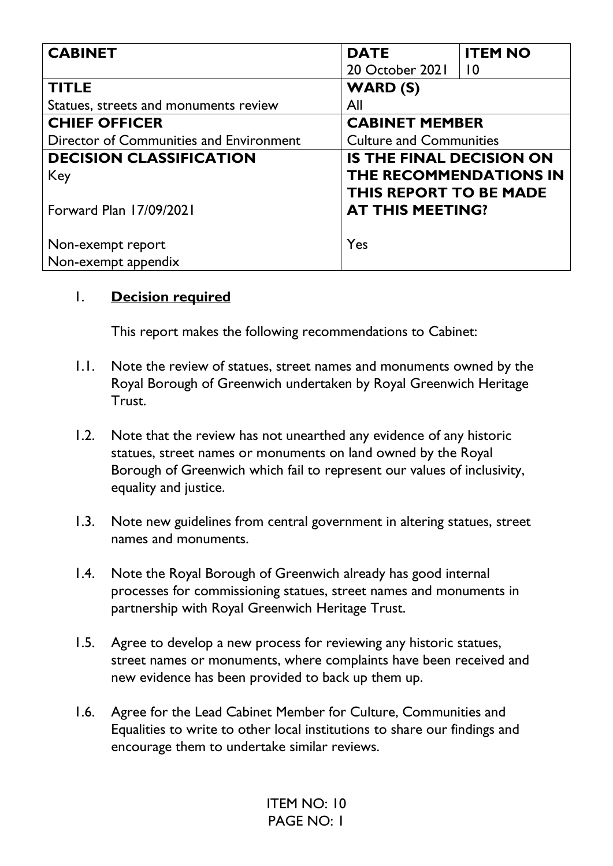| <b>CABINET</b>                          | <b>DATE</b>                     | <b>ITEM NO</b> |
|-----------------------------------------|---------------------------------|----------------|
|                                         | 20 October 2021                 | 10             |
| <b>TITLE</b>                            | WARD(S)                         |                |
| Statues, streets and monuments review   | All                             |                |
| <b>CHIEF OFFICER</b>                    | <b>CABINET MEMBER</b>           |                |
| Director of Communities and Environment | <b>Culture and Communities</b>  |                |
| <b>DECISION CLASSIFICATION</b>          | <b>IS THE FINAL DECISION ON</b> |                |
| Key                                     | THE RECOMMENDATIONS IN          |                |
|                                         | <b>THIS REPORT TO BE MADE</b>   |                |
| Forward Plan 17/09/2021                 | <b>AT THIS MEETING?</b>         |                |
|                                         |                                 |                |
| Non-exempt report                       | Yes                             |                |
| Non-exempt appendix                     |                                 |                |

#### 1. **Decision required**

This report makes the following recommendations to Cabinet:

- 1.1. Note the review of statues, street names and monuments owned by the Royal Borough of Greenwich undertaken by Royal Greenwich Heritage Trust.
- 1.2. Note that the review has not unearthed any evidence of any historic statues, street names or monuments on land owned by the Royal Borough of Greenwich which fail to represent our values of inclusivity, equality and justice.
- 1.3. Note new guidelines from central government in altering statues, street names and monuments.
- 1.4. Note the Royal Borough of Greenwich already has good internal processes for commissioning statues, street names and monuments in partnership with Royal Greenwich Heritage Trust.
- 1.5. Agree to develop a new process for reviewing any historic statues, street names or monuments, where complaints have been received and new evidence has been provided to back up them up.
- 1.6. Agree for the Lead Cabinet Member for Culture, Communities and Equalities to write to other local institutions to share our findings and encourage them to undertake similar reviews.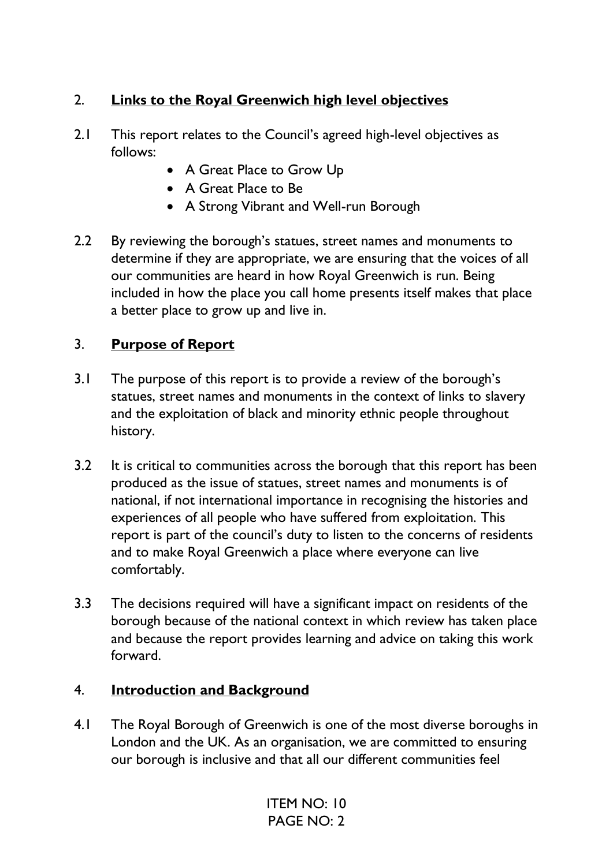# 2. **Links to the Royal Greenwich high level objectives**

- 2.1 This report relates to the Council's agreed high-level objectives as follows:
	- A Great Place to Grow Up
	- A Great Place to Be
	- A Strong Vibrant and Well-run Borough
- 2.2 By reviewing the borough's statues, street names and monuments to determine if they are appropriate, we are ensuring that the voices of all our communities are heard in how Royal Greenwich is run. Being included in how the place you call home presents itself makes that place a better place to grow up and live in.

# 3. **Purpose of Report**

- 3.1 The purpose of this report is to provide a review of the borough's statues, street names and monuments in the context of links to slavery and the exploitation of black and minority ethnic people throughout history.
- 3.2 It is critical to communities across the borough that this report has been produced as the issue of statues, street names and monuments is of national, if not international importance in recognising the histories and experiences of all people who have suffered from exploitation. This report is part of the council's duty to listen to the concerns of residents and to make Royal Greenwich a place where everyone can live comfortably.
- 3.3 The decisions required will have a significant impact on residents of the borough because of the national context in which review has taken place and because the report provides learning and advice on taking this work forward.

### 4. **Introduction and Background**

4.1 The Royal Borough of Greenwich is one of the most diverse boroughs in London and the UK. As an organisation, we are committed to ensuring our borough is inclusive and that all our different communities feel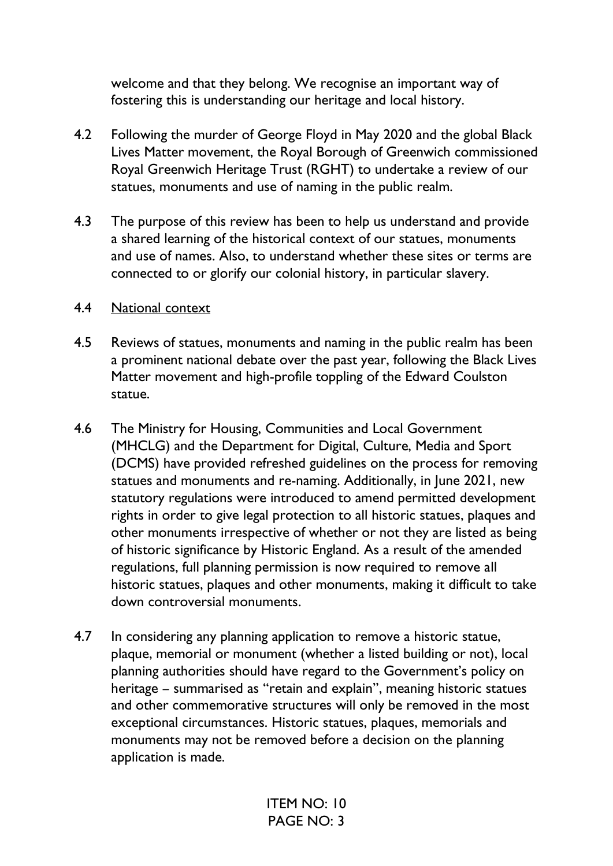welcome and that they belong. We recognise an important way of fostering this is understanding our heritage and local history.

- 4.2 Following the murder of George Floyd in May 2020 and the global Black Lives Matter movement, the Royal Borough of Greenwich commissioned Royal Greenwich Heritage Trust (RGHT) to undertake a review of our statues, monuments and use of naming in the public realm.
- 4.3 The purpose of this review has been to help us understand and provide a shared learning of the historical context of our statues, monuments and use of names. Also, to understand whether these sites or terms are connected to or glorify our colonial history, in particular slavery.

#### 4.4 National context

- 4.5 Reviews of statues, monuments and naming in the public realm has been a prominent national debate over the past year, following the Black Lives Matter movement and high-profile toppling of the Edward Coulston statue.
- 4.6 The Ministry for Housing, Communities and Local Government (MHCLG) and the Department for Digital, Culture, Media and Sport (DCMS) have provided refreshed guidelines on the process for removing statues and monuments and re-naming. Additionally, in June 2021, new statutory regulations were introduced to amend permitted development rights in order to give legal protection to all historic statues, plaques and other monuments irrespective of whether or not they are listed as being of historic significance by Historic England. As a result of the amended regulations, full planning permission is now required to remove all historic statues, plaques and other monuments, making it difficult to take down controversial monuments.
- 4.7 In considering any planning application to remove a historic statue, plaque, memorial or monument (whether a listed building or not), local planning authorities should have regard to the Government's policy on heritage – summarised as "retain and explain", meaning historic statues and other commemorative structures will only be removed in the most exceptional circumstances. Historic statues, plaques, memorials and monuments may not be removed before a decision on the planning application is made.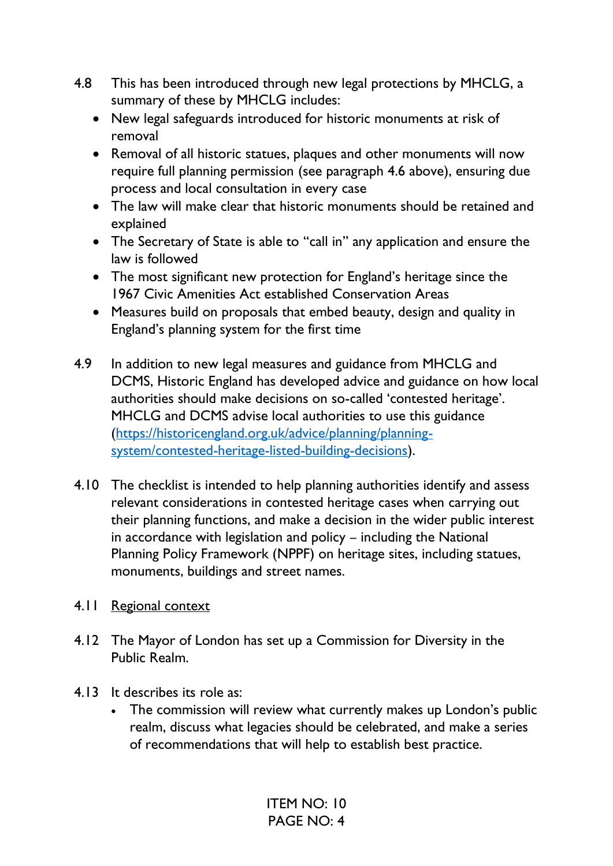- 4.8 This has been introduced through new [legal protections by MHCLG,](https://www.gov.uk/government/news/new-legal-protection-for-england-s-heritage#:~:text=Historic%20England%20and%20the%20Secretary,in%20the%20most%20exceptional%20circumstances.&text=These%20new%20laws%20will%20protect,throughout%20England%20for%20future%20generations.) a summary of these by MHCLG includes:
	- New legal safeguards introduced for historic monuments at risk of removal
	- Removal of all historic statues, plaques and other monuments will now require full planning permission (see paragraph 4.6 above), ensuring due process and local consultation in every case
	- The law will make clear that historic monuments should be retained and explained
	- The Secretary of State is able to "call in" any application and ensure the law is followed
	- The most significant new protection for England's heritage since the 1967 Civic Amenities Act established Conservation Areas
	- Measures build on proposals that embed beauty, design and quality in England's planning system for the first time
- 4.9 In addition to new legal measures and guidance from MHCLG and DCMS, [Historic England has developed advice and guidance](https://historicengland.org.uk/advice/planning/planning-system/contested-heritage-listed-building-decisions/) on how local authorities should make decisions on so-called 'contested heritage'. MHCLG and DCMS advise local authorities to use this guidance [\(https://historicengland.org.uk/advice/planning/planning](https://historicengland.org.uk/advice/planning/planning-system/contested-heritage-listed-building-decisions)[system/contested-heritage-listed-building-decisions\)](https://historicengland.org.uk/advice/planning/planning-system/contested-heritage-listed-building-decisions).
- 4.10 The checklist is intended to help planning authorities identify and assess relevant considerations in contested heritage cases when carrying out their planning functions, and make a decision in the wider public interest in accordance with legislation and policy – including the National Planning Policy Framework (NPPF) on heritage sites, including statues, monuments, buildings and street names.
- 4.11 Regional context
- 4.12 The Mayor of London has set up a Commission for Diversity in the Public Realm.
- 4.13 It describes its role as:
	- The commission will review what currently makes up London's public realm, discuss what legacies should be celebrated, and make a series of recommendations that will help to establish best practice.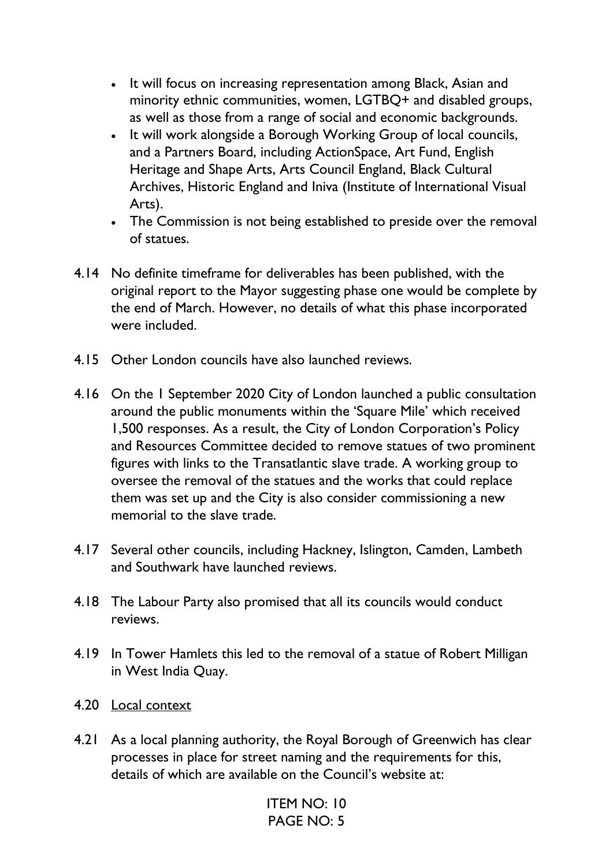- It will focus on increasing representation among Black, Asian and minority ethnic communities, women, LGTBQ+ and disabled groups, as well as those from a range of social and economic backgrounds.
- It will work alongside a Borough Working Group of local councils, and a Partners Board, including ActionSpace, Art Fund, English Heritage and Shape Arts, Arts Council England, Black Cultural Archives, Historic England and Iniva (Institute of International Visual Arts).
- The Commission is not being established to preside over the removal of statues.
- 4.14 No definite timeframe for deliverables has been published, with the original report to the Mayor suggesting phase one would be complete by the end of March. However, no details of what this phase incorporated were included.
- 4.15 Other London councils have also launched reviews.
- 4.16 On the 1 September 2020 City of London launched a public consultation around the public monuments within the 'Square Mile' which received 1,500 responses. As a result, the City of London Corporation's Policy and Resources Committee decided to remove statues of two prominent figures with links to the Transatlantic slave trade. A working group to oversee the removal of the statues and the works that could replace them was set up and the City is also consider commissioning a new memorial to the slave trade.
- 4.17 Several other councils, including Hackney, Islington, Camden, Lambeth and Southwark have launched reviews.
- 4.18 The Labour Party also promised that all its councils would conduct reviews.
- 4.19 In Tower Hamlets this led to the removal of a statue of Robert Milligan in West India Quay.
- 4.20 Local context
- 4.21 As a local planning authority, the Royal Borough of Greenwich has clear processes in place for street naming and the requirements for this, details of which are available on the Council's website at: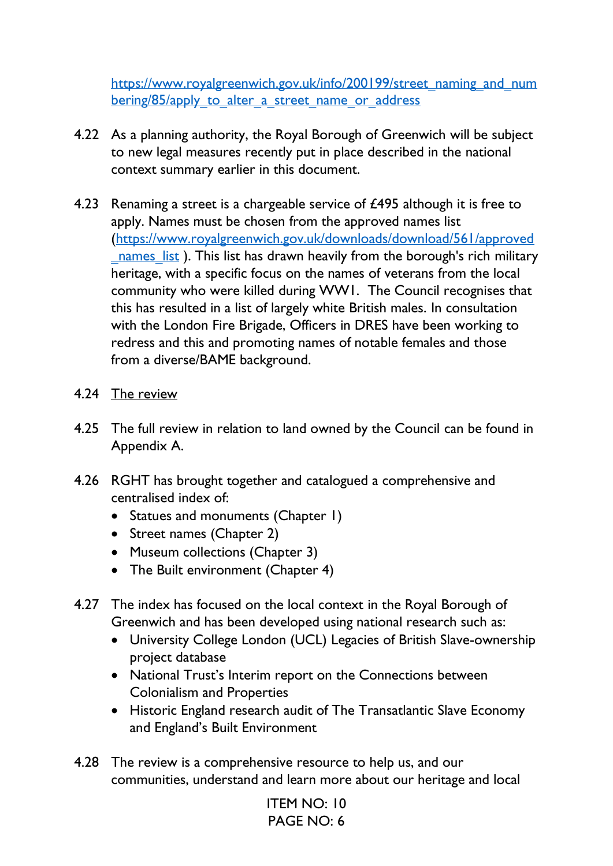[https://www.royalgreenwich.gov.uk/info/200199/street\\_naming\\_and\\_num](https://www.royalgreenwich.gov.uk/info/200199/street_naming_and_numbering/85/apply_to_alter_a_street_name_or_address) bering/85/apply to alter a street name or address

- 4.22 As a planning authority, the Royal Borough of Greenwich will be subject to new legal measures recently put in place described in the national context summary earlier in this document.
- 4.23 Renaming a street is a chargeable service of  $£495$  although it is free to apply. Names must be chosen from the approved names list [\(https://www.royalgreenwich.gov.uk/downloads/download/561/approved](https://www.royalgreenwich.gov.uk/downloads/download/561/approved_names_list) names list ). This list has drawn heavily from the borough's rich military heritage, with a specific focus on the names of veterans from the local community who were killed during WW1. The Council recognises that this has resulted in a list of largely white British males. In consultation with the London Fire Brigade, Officers in DRES have been working to redress and this and promoting names of notable females and those from a diverse/BAME background.
- 4.24 The review
- 4.25 The full review in relation to land owned by the Council can be found in Appendix A.
- 4.26 RGHT has brought together and catalogued a comprehensive and centralised index of:
	- Statues and monuments (Chapter 1)
	- Street names (Chapter 2)
	- Museum collections (Chapter 3)
	- The Built environment (Chapter 4)
- 4.27 The index has focused on the local context in the Royal Borough of Greenwich and has been developed using national research such as:
	- University College London (UCL) Legacies of British Slave-ownership project database
	- National Trust's Interim report on the Connections between Colonialism and Properties
	- Historic England research audit of The Transatlantic Slave Economy and England's Built Environment
- 4.28 The review is a comprehensive resource to help us, and our communities, understand and learn more about our heritage and local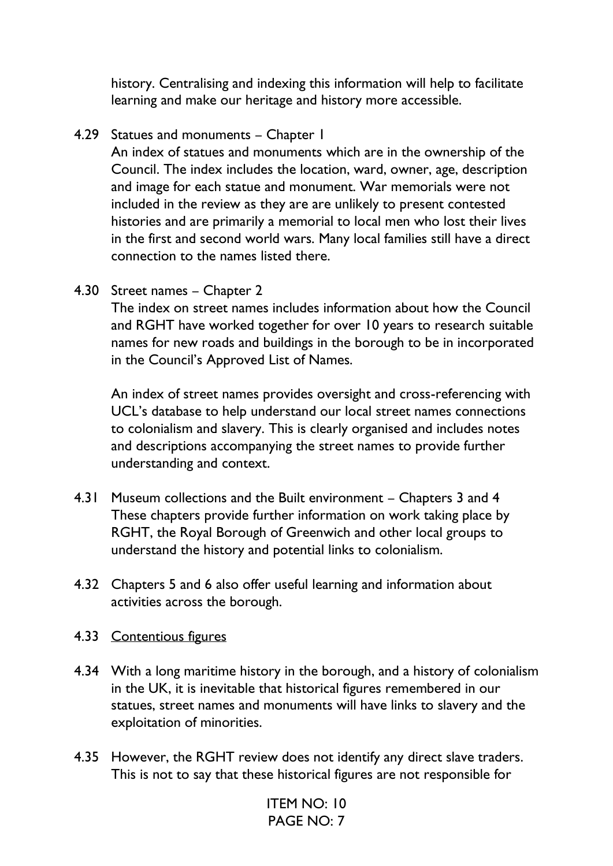history. Centralising and indexing this information will help to facilitate learning and make our heritage and history more accessible.

#### 4.29 Statues and monuments – Chapter 1

An index of statues and monuments which are in the ownership of the Council. The index includes the location, ward, owner, age, description and image for each statue and monument. War memorials were not included in the review as they are are unlikely to present contested histories and are primarily a memorial to local men who lost their lives in the first and second world wars. Many local families still have a direct connection to the names listed there.

#### 4.30 Street names – Chapter 2

The index on street names includes information about how the Council and RGHT have worked together for over 10 years to research suitable names for new roads and buildings in the borough to be in incorporated in the Council's Approved List of Names.

An index of street names provides oversight and cross-referencing with UCL's database to help understand our local street names connections to colonialism and slavery. This is clearly organised and includes notes and descriptions accompanying the street names to provide further understanding and context.

- 4.31 Museum collections and the Built environment Chapters 3 and 4 These chapters provide further information on work taking place by RGHT, the Royal Borough of Greenwich and other local groups to understand the history and potential links to colonialism.
- 4.32 Chapters 5 and 6 also offer useful learning and information about activities across the borough.

#### 4.33 Contentious figures

- 4.34 With a long maritime history in the borough, and a history of colonialism in the UK, it is inevitable that historical figures remembered in our statues, street names and monuments will have links to slavery and the exploitation of minorities.
- 4.35 However, the RGHT review does not identify any direct slave traders. This is not to say that these historical figures are not responsible for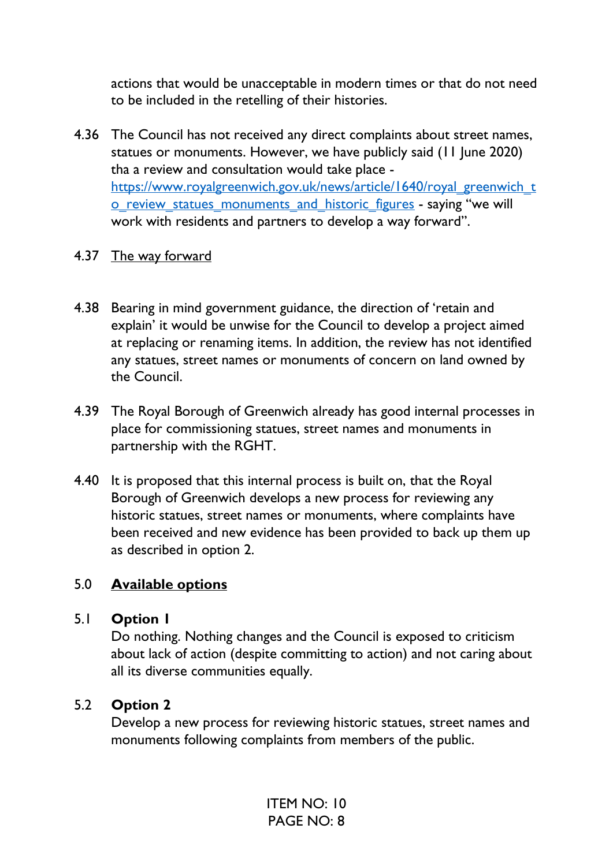actions that would be unacceptable in modern times or that do not need to be included in the retelling of their histories.

- 4.36 The Council has not received any direct complaints about street names, statues or monuments. However, we have publicly said (11 June 2020) tha a review and consultation would take place [https://www.royalgreenwich.gov.uk/news/article/1640/royal\\_greenwich\\_t](https://www.royalgreenwich.gov.uk/news/article/1640/royal_greenwich_to_review_statues_monuments_and_historic_figures) o review statues monuments and historic figures - saying "we will work with residents and partners to develop a way forward".
- 4.37 The way forward
- 4.38 Bearing in mind government guidance, the direction of 'retain and explain' it would be unwise for the Council to develop a project aimed at replacing or renaming items. In addition, the review has not identified any statues, street names or monuments of concern on land owned by the Council.
- 4.39 The Royal Borough of Greenwich already has good internal processes in place for commissioning statues, street names and monuments in partnership with the RGHT.
- 4.40 It is proposed that this internal process is built on, that the Royal Borough of Greenwich develops a new process for reviewing any historic statues, street names or monuments, where complaints have been received and new evidence has been provided to back up them up as described in option 2.

#### 5.0 **Available options**

#### 5.1 **Option 1**

Do nothing. Nothing changes and the Council is exposed to criticism about lack of action (despite committing to action) and not caring about all its diverse communities equally.

#### 5.2 **Option 2**

Develop a new process for reviewing historic statues, street names and monuments following complaints from members of the public.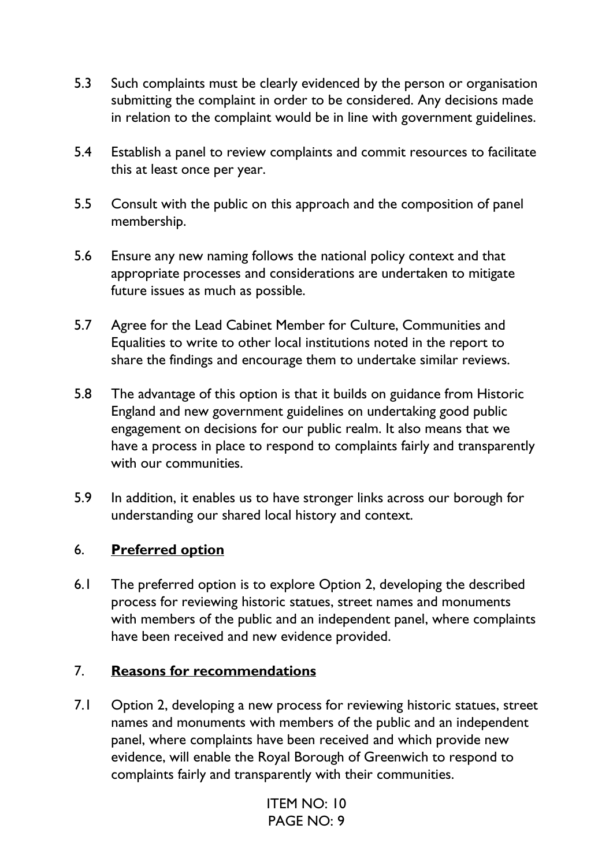- 5.3 Such complaints must be clearly evidenced by the person or organisation submitting the complaint in order to be considered. Any decisions made in relation to the complaint would be in line with government guidelines.
- 5.4 Establish a panel to review complaints and commit resources to facilitate this at least once per year.
- 5.5 Consult with the public on this approach and the composition of panel membership.
- 5.6 Ensure any new naming follows the national policy context and that appropriate processes and considerations are undertaken to mitigate future issues as much as possible.
- 5.7 Agree for the Lead Cabinet Member for Culture, Communities and Equalities to write to other local institutions noted in the report to share the findings and encourage them to undertake similar reviews.
- 5.8 The advantage of this option is that it builds on guidance from Historic England and new government guidelines on undertaking good public engagement on decisions for our public realm. It also means that we have a process in place to respond to complaints fairly and transparently with our communities.
- 5.9 In addition, it enables us to have stronger links across our borough for understanding our shared local history and context.

### 6. **Preferred option**

6.1 The preferred option is to explore Option 2, developing the described process for reviewing historic statues, street names and monuments with members of the public and an independent panel, where complaints have been received and new evidence provided.

### 7. **Reasons for recommendations**

7.1 Option 2, developing a new process for reviewing historic statues, street names and monuments with members of the public and an independent panel, where complaints have been received and which provide new evidence, will enable the Royal Borough of Greenwich to respond to complaints fairly and transparently with their communities.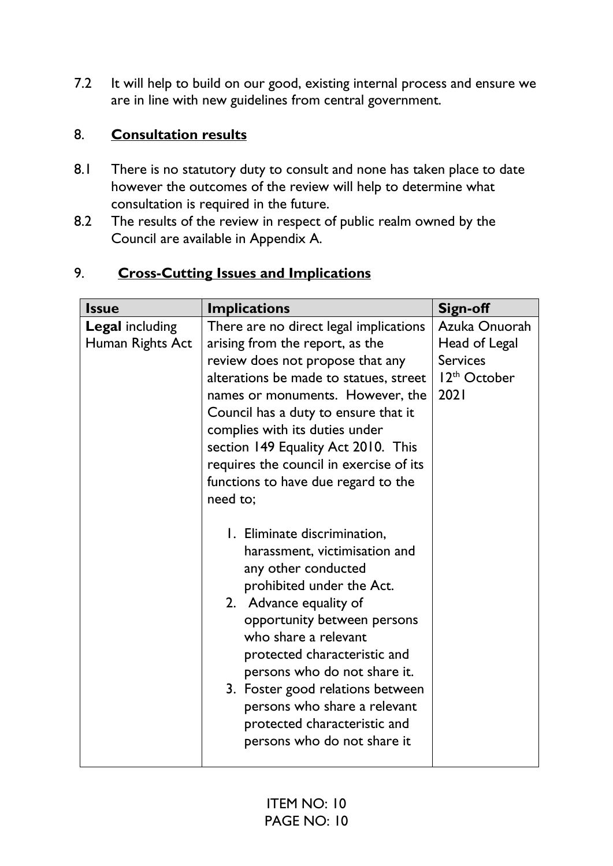7.2 It will help to build on our good, existing internal process and ensure we are in line with new guidelines from central government.

# 8. **Consultation results**

- 8.1 There is no statutory duty to consult and none has taken place to date however the outcomes of the review will help to determine what consultation is required in the future.
- 8.2 The results of the review in respect of public realm owned by the Council are available in Appendix A.

| 9. | <b>Cross-Cutting Issues and Implications</b> |  |  |
|----|----------------------------------------------|--|--|
|    |                                              |  |  |

| <b>Issue</b>                               | <b>Implications</b>                                                                                                                                                                                                                                                                                                                                                                                                                                                                                                                                                                                                                                                                                                                                                                                                 | <b>Sign-off</b>                                                                       |
|--------------------------------------------|---------------------------------------------------------------------------------------------------------------------------------------------------------------------------------------------------------------------------------------------------------------------------------------------------------------------------------------------------------------------------------------------------------------------------------------------------------------------------------------------------------------------------------------------------------------------------------------------------------------------------------------------------------------------------------------------------------------------------------------------------------------------------------------------------------------------|---------------------------------------------------------------------------------------|
| <b>Legal including</b><br>Human Rights Act | There are no direct legal implications<br>arising from the report, as the<br>review does not propose that any<br>alterations be made to statues, street<br>names or monuments. However, the<br>Council has a duty to ensure that it<br>complies with its duties under<br>section 149 Equality Act 2010. This<br>requires the council in exercise of its<br>functions to have due regard to the<br>need to;<br>1. Eliminate discrimination,<br>harassment, victimisation and<br>any other conducted<br>prohibited under the Act.<br>2. Advance equality of<br>opportunity between persons<br>who share a relevant<br>protected characteristic and<br>persons who do not share it.<br>3. Foster good relations between<br>persons who share a relevant<br>protected characteristic and<br>persons who do not share it | Azuka Onuorah<br>Head of Legal<br><b>Services</b><br>12 <sup>th</sup> October<br>2021 |
|                                            |                                                                                                                                                                                                                                                                                                                                                                                                                                                                                                                                                                                                                                                                                                                                                                                                                     |                                                                                       |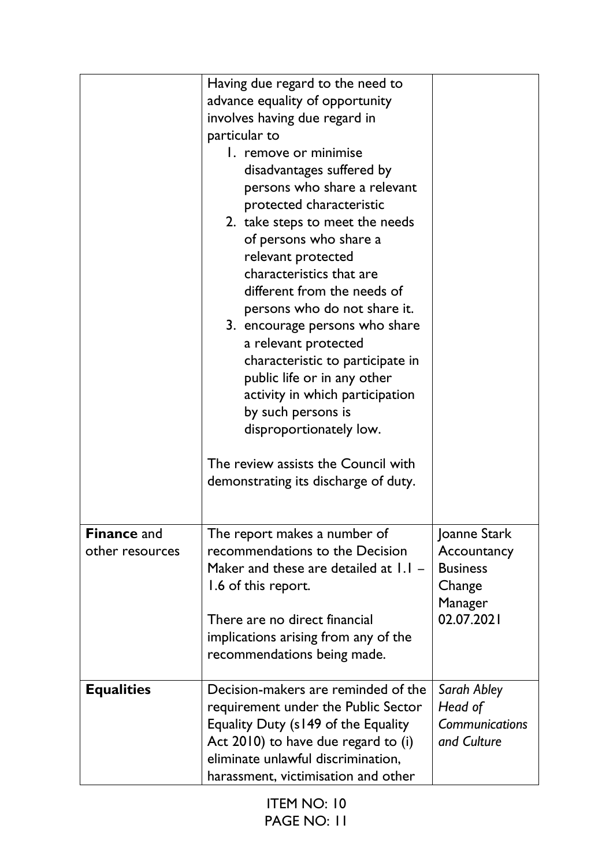|                                       | Having due regard to the need to<br>advance equality of opportunity<br>involves having due regard in<br>particular to<br>1. remove or minimise<br>disadvantages suffered by<br>persons who share a relevant<br>protected characteristic<br>2. take steps to meet the needs<br>of persons who share a<br>relevant protected<br>characteristics that are<br>different from the needs of<br>persons who do not share it.<br>3. encourage persons who share<br>a relevant protected<br>characteristic to participate in<br>public life or in any other<br>activity in which participation<br>by such persons is<br>disproportionately low.<br>The review assists the Council with<br>demonstrating its discharge of duty. |                                                                                   |
|---------------------------------------|-----------------------------------------------------------------------------------------------------------------------------------------------------------------------------------------------------------------------------------------------------------------------------------------------------------------------------------------------------------------------------------------------------------------------------------------------------------------------------------------------------------------------------------------------------------------------------------------------------------------------------------------------------------------------------------------------------------------------|-----------------------------------------------------------------------------------|
| <b>Finance and</b><br>other resources | The report makes a number of<br>recommendations to the Decision<br>Maker and these are detailed at $1.1 -$<br>1.6 of this report.<br>There are no direct financial<br>implications arising from any of the<br>recommendations being made.                                                                                                                                                                                                                                                                                                                                                                                                                                                                             | Joanne Stark<br>Accountancy<br><b>Business</b><br>Change<br>Manager<br>02.07.2021 |
| <b>Equalities</b>                     | Decision-makers are reminded of the<br>requirement under the Public Sector<br>Equality Duty (s149 of the Equality<br>Act 2010) to have due regard to (i)<br>eliminate unlawful discrimination,<br>harassment, victimisation and other                                                                                                                                                                                                                                                                                                                                                                                                                                                                                 | Sarah Abley<br>Head of<br><b>Communications</b><br>and Culture                    |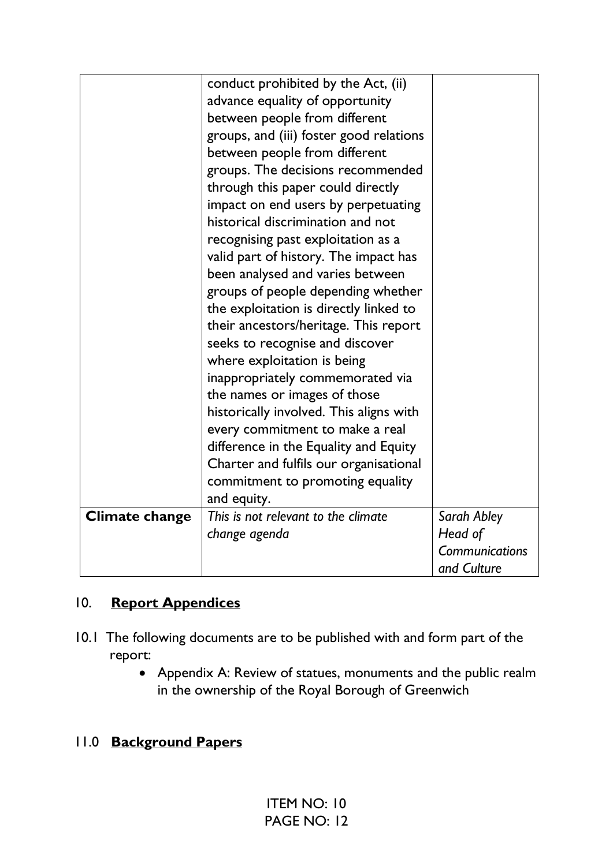|                | conduct prohibited by the Act, (ii)<br>advance equality of opportunity<br>between people from different<br>groups, and (iii) foster good relations<br>between people from different<br>groups. The decisions recommended |                                                                |
|----------------|--------------------------------------------------------------------------------------------------------------------------------------------------------------------------------------------------------------------------|----------------------------------------------------------------|
|                | through this paper could directly<br>impact on end users by perpetuating<br>historical discrimination and not<br>recognising past exploitation as a<br>valid part of history. The impact has                             |                                                                |
|                | been analysed and varies between<br>groups of people depending whether<br>the exploitation is directly linked to<br>their ancestors/heritage. This report<br>seeks to recognise and discover                             |                                                                |
|                | where exploitation is being<br>inappropriately commemorated via<br>the names or images of those<br>historically involved. This aligns with<br>every commitment to make a real                                            |                                                                |
|                | difference in the Equality and Equity<br>Charter and fulfils our organisational<br>commitment to promoting equality<br>and equity.                                                                                       |                                                                |
| Climate change | This is not relevant to the climate<br>change agenda                                                                                                                                                                     | Sarah Abley<br>Head of<br><b>Communications</b><br>and Culture |

# 10. **Report Appendices**

- 10.1 The following documents are to be published with and form part of the report:
	- Appendix A: Review of statues, monuments and the public realm in the ownership of the Royal Borough of Greenwich

# 11.0 **Background Papers**